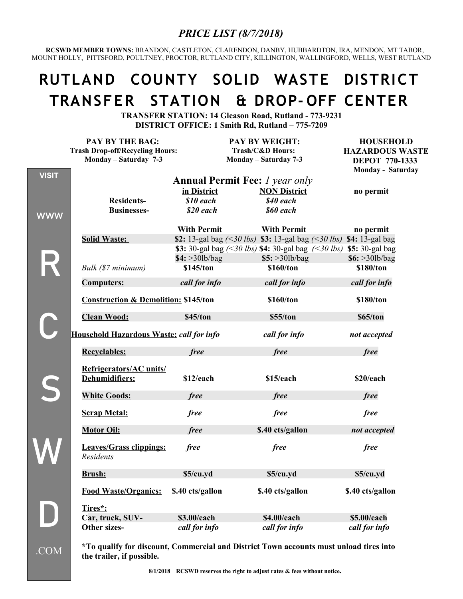#### *PRICE LIST (8/7/2018)*

 **RCSWD MEMBER TOWNS:** BRANDON, CASTLETON, CLARENDON, DANBY, HUBBARDTON, IRA, MENDON, MT TABOR, MOUNT HOLLY, PITTSFORD, POULTNEY, PROCTOR, RUTLAND CITY, KILLINGTON, WALLINGFORD, WELLS, WEST RUTLAND

# **RUTLAND COUNTY SOLID WASTE DISTRICT TRANSFER STATION & DROP- OFF CENTER**

**TRANSFER STATION: 14 Gleason Road, Rutland - 773-9231 DISTRICT OFFICE: 1 Smith Rd, Rutland – 775-7209**

|              | PAY BY THE BAG:                                    |                    | PAY BY WEIGHT:                                                                                                            | <b>HOUSEHOLD</b>       |
|--------------|----------------------------------------------------|--------------------|---------------------------------------------------------------------------------------------------------------------------|------------------------|
|              | <b>Trash Drop-off/Recycling Hours:</b>             |                    | Trash/C&D Hours:                                                                                                          | <b>HAZARDOUS WASTE</b> |
|              | Monday - Saturday 7-3                              |                    | Monday - Saturday 7-3                                                                                                     | <b>DEPOT 770-1333</b>  |
| <b>VISIT</b> |                                                    |                    |                                                                                                                           | Monday - Saturday      |
|              |                                                    |                    | <b>Annual Permit Fee:</b> <i>l year only</i>                                                                              |                        |
|              |                                                    | in District        | <b>NON District</b>                                                                                                       | no permit              |
|              | <b>Residents-</b>                                  | \$10 each          | \$40 each                                                                                                                 |                        |
| <b>WWW</b>   | <b>Businesses-</b>                                 | \$20 each          | \$60 each                                                                                                                 |                        |
|              |                                                    | <b>With Permit</b> | <b>With Permit</b>                                                                                                        | no permit              |
|              | <b>Solid Waste:</b>                                |                    | \$2: 13-gal bag $\left( \leq 30 \text{ lbs} \right)$ \$3: 13-gal bag $\left( \leq 30 \text{ lbs} \right)$ \$4: 13-gal bag |                        |
|              |                                                    |                    | \$3: 30-gal bag $\left( \leq 30 \text{ lbs} \right)$ \$4: 30-gal bag $\left( \leq 30 \text{ lbs} \right)$ \$5: 30-gal bag |                        |
|              |                                                    | \$4: >30lb/bag     | \$5: >30lb/bag                                                                                                            | \$6: >30lb/bag         |
|              | Bulk (\$7 minimum)                                 | \$145/ton          | \$160/ton                                                                                                                 | \$180/ton              |
|              | <b>Computers:</b>                                  | call for info      | call for info                                                                                                             | call for info          |
|              | <b>Construction &amp; Demolition: \$145/ton</b>    |                    | \$160/ton                                                                                                                 | \$180/ton              |
|              | <b>Clean Wood:</b>                                 | \$45/ton           | \$55/ton                                                                                                                  | \$65/ton               |
|              | Household Hazardous Waste: call for info           |                    | call for info                                                                                                             | not accepted           |
|              | <b>Recyclables:</b>                                | free               | free                                                                                                                      | free                   |
|              | Refrigerators/AC units/                            |                    |                                                                                                                           |                        |
|              | Dehumidifiers:                                     | \$12/each          | \$15/each                                                                                                                 | \$20/each              |
|              | <b>White Goods:</b>                                | free               | free                                                                                                                      | free                   |
|              | <b>Scrap Metal:</b>                                | free               | free                                                                                                                      | free                   |
|              | <b>Motor Oil:</b>                                  | free               | \$.40 cts/gallon                                                                                                          | not accepted           |
|              | <b>Leaves/Grass clippings:</b><br><b>Residents</b> | free               | free                                                                                                                      | free                   |
|              | Brush:                                             | \$5/cu.vd          | \$5/cu.yd                                                                                                                 | \$5/cu.vd              |
|              | <b>Food Waste/Organics:</b>                        | \$.40 cts/gallon   | \$.40 cts/gallon                                                                                                          | \$.40 cts/gallon       |
|              | Tires*:                                            |                    |                                                                                                                           |                        |
|              | Car, truck, SUV-                                   | \$3.00/each        | \$4.00/each                                                                                                               | \$5.00/each            |
|              | Other sizes-                                       | call for info      | call for info                                                                                                             | call for info          |

**\*To qualify for discount, Commercial and District Town accounts must unload tires into the trailer, if possible.**

.COM